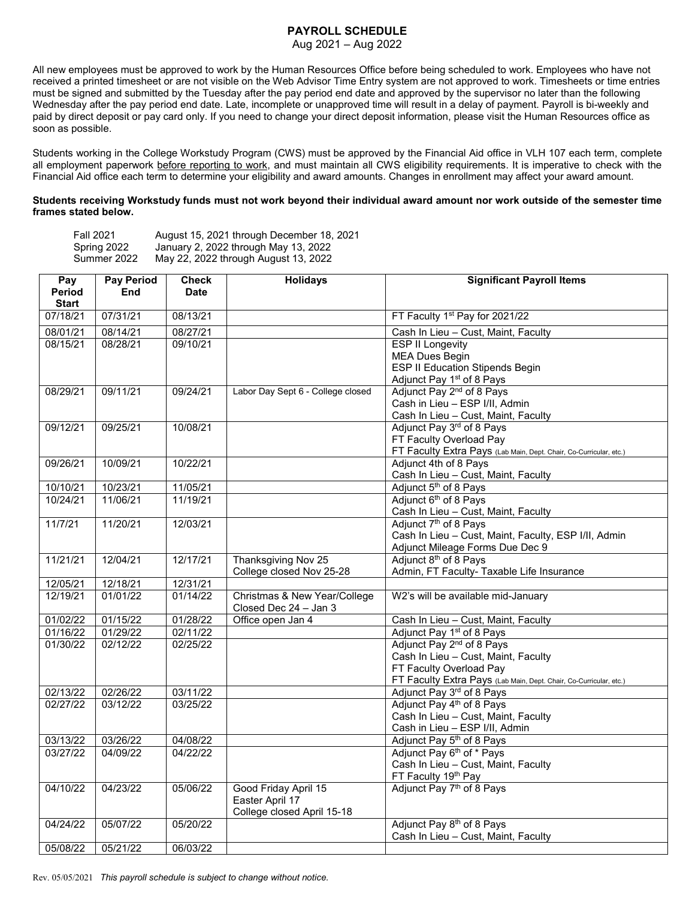## **PAYROLL SCHEDULE**

Aug 2021 – Aug 2022

All new employees must be approved to work by the Human Resources Office before being scheduled to work. Employees who have not received a printed timesheet or are not visible on the Web Advisor Time Entry system are not approved to work. Timesheets or time entries must be signed and submitted by the Tuesday after the pay period end date and approved by the supervisor no later than the following Wednesday after the pay period end date. Late, incomplete or unapproved time will result in a delay of payment. Payroll is bi-weekly and paid by direct deposit or pay card only. If you need to change your direct deposit information, please visit the Human Resources office as soon as possible.

Students working in the College Workstudy Program (CWS) must be approved by the Financial Aid office in VLH 107 each term, complete all employment paperwork before reporting to work, and must maintain all CWS eligibility requirements. It is imperative to check with the Financial Aid office each term to determine your eligibility and award amounts. Changes in enrollment may affect your award amount.

## **Students receiving Workstudy funds must not work beyond their individual award amount nor work outside of the semester time frames stated below.**

| <b>Fall 2021</b> | August 15, 2021 through December 18, 2021 |
|------------------|-------------------------------------------|
| Spring 2022      | January 2, 2022 through May 13, 2022      |
| Summer 2022      | May 22, 2022 through August 13, 2022      |

| Pay          | <b>Pay Period</b> | <b>Check</b> | <b>Holidays</b>                                       | <b>Significant Payroll Items</b>                                   |
|--------------|-------------------|--------------|-------------------------------------------------------|--------------------------------------------------------------------|
| Period       | End               | <b>Date</b>  |                                                       |                                                                    |
| <b>Start</b> |                   |              |                                                       |                                                                    |
| 07/18/21     | 07/31/21          | 08/13/21     |                                                       | FT Faculty 1st Pay for 2021/22                                     |
| 08/01/21     | 08/14/21          | 08/27/21     |                                                       | Cash In Lieu - Cust, Maint, Faculty                                |
| 08/15/21     | 08/28/21          | 09/10/21     |                                                       | <b>ESP II Longevity</b>                                            |
|              |                   |              |                                                       | <b>MEA Dues Begin</b>                                              |
|              |                   |              |                                                       | <b>ESP II Education Stipends Begin</b>                             |
|              |                   |              |                                                       | Adjunct Pay 1 <sup>st</sup> of 8 Pays                              |
| 08/29/21     | 09/11/21          | 09/24/21     | Labor Day Sept 6 - College closed                     | Adjunct Pay 2 <sup>nd</sup> of 8 Pays                              |
|              |                   |              |                                                       | Cash in Lieu - ESP I/II, Admin                                     |
|              |                   |              |                                                       | Cash In Lieu - Cust, Maint, Faculty                                |
| 09/12/21     | 09/25/21          | 10/08/21     |                                                       | Adjunct Pay 3rd of 8 Pays                                          |
|              |                   |              |                                                       | FT Faculty Overload Pay                                            |
|              |                   |              |                                                       | FT Faculty Extra Pays (Lab Main, Dept. Chair, Co-Curricular, etc.) |
| 09/26/21     | 10/09/21          | 10/22/21     |                                                       | Adjunct 4th of 8 Pays                                              |
|              |                   |              |                                                       | Cash In Lieu - Cust, Maint, Faculty                                |
| 10/10/21     | 10/23/21          | 11/05/21     |                                                       | Adjunct 5 <sup>th</sup> of 8 Pays                                  |
| 10/24/21     | 11/06/21          | 11/19/21     |                                                       | Adjunct 6 <sup>th</sup> of 8 Pays                                  |
|              |                   |              |                                                       | Cash In Lieu - Cust, Maint, Faculty                                |
| 11/7/21      | 11/20/21          | 12/03/21     |                                                       | Adjunct 7 <sup>th</sup> of 8 Pays                                  |
|              |                   |              |                                                       | Cash In Lieu - Cust, Maint, Faculty, ESP I/II, Admin               |
|              |                   |              |                                                       | Adjunct Mileage Forms Due Dec 9                                    |
| 11/21/21     | 12/04/21          | 12/17/21     | Thanksgiving Nov 25                                   | Adjunct 8 <sup>th</sup> of 8 Pays                                  |
|              |                   |              | College closed Nov 25-28                              | Admin, FT Faculty- Taxable Life Insurance                          |
| 12/05/21     | 12/18/21          | 12/31/21     |                                                       |                                                                    |
| 12/19/21     | 01/01/22          | 01/14/22     | Christmas & New Year/College<br>Closed Dec 24 - Jan 3 | W2's will be available mid-January                                 |
| 01/02/22     | 01/15/22          | 01/28/22     | Office open Jan 4                                     | Cash In Lieu - Cust, Maint, Faculty                                |
| 01/16/22     | 01/29/22          | 02/11/22     |                                                       | Adjunct Pay 1 <sup>st</sup> of 8 Pays                              |
| 01/30/22     | 02/12/22          | 02/25/22     |                                                       | Adjunct Pay 2 <sup>nd</sup> of 8 Pays                              |
|              |                   |              |                                                       | Cash In Lieu - Cust, Maint, Faculty                                |
|              |                   |              |                                                       | FT Faculty Overload Pay                                            |
|              |                   |              |                                                       | FT Faculty Extra Pays (Lab Main, Dept. Chair, Co-Curricular, etc.) |
| 02/13/22     | 02/26/22          | 03/11/22     |                                                       | Adjunct Pay 3rd of 8 Pays                                          |
| 02/27/22     | 03/12/22          | 03/25/22     |                                                       | Adjunct Pay 4 <sup>th</sup> of 8 Pays                              |
|              |                   |              |                                                       | Cash In Lieu - Cust, Maint, Faculty                                |
|              |                   |              |                                                       | Cash in Lieu - ESP I/II, Admin                                     |
| 03/13/22     | 03/26/22          | 04/08/22     |                                                       | Adjunct Pay 5 <sup>th</sup> of 8 Pays                              |
| 03/27/22     | 04/09/22          | 04/22/22     |                                                       | Adjunct Pay 6 <sup>th</sup> of * Pays                              |
|              |                   |              |                                                       | Cash In Lieu - Cust, Maint, Faculty                                |
|              |                   |              |                                                       | FT Faculty 19th Pay                                                |
| 04/10/22     | 04/23/22          | 05/06/22     | Good Friday April 15                                  | Adjunct Pay 7 <sup>th</sup> of 8 Pays                              |
|              |                   |              | Easter April 17                                       |                                                                    |
|              |                   |              | College closed April 15-18                            |                                                                    |
| 04/24/22     | 05/07/22          | 05/20/22     |                                                       | Adjunct Pay 8 <sup>th</sup> of 8 Pays                              |
|              |                   |              |                                                       | Cash In Lieu - Cust, Maint, Faculty                                |
| 05/08/22     | 05/21/22          | 06/03/22     |                                                       |                                                                    |